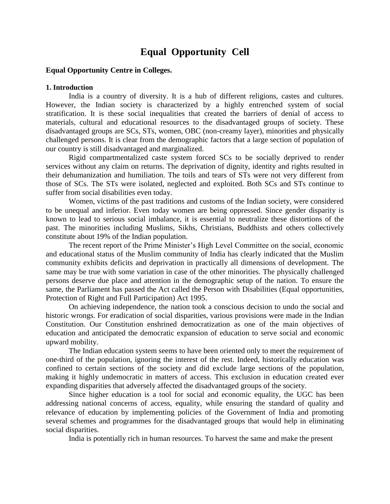# **Equal Opportunity Cell**

#### **Equal Opportunity Centre in Colleges.**

#### **1. Introduction**

India is a country of diversity. It is a hub of different religions, castes and cultures. However, the Indian society is characterized by a highly entrenched system of social stratification. It is these social inequalities that created the barriers of denial of access to materials, cultural and educational resources to the disadvantaged groups of society. These disadvantaged groups are SCs, STs, women, OBC (non-creamy layer), minorities and physically challenged persons. It is clear from the demographic factors that a large section of population of our country is still disadvantaged and marginalized.

Rigid compartmentalized caste system forced SCs to be socially deprived to render services without any claim on returns. The deprivation of dignity, identity and rights resulted in their dehumanization and humiliation. The toils and tears of STs were not very different from those of SCs. The STs were isolated, neglected and exploited. Both SCs and STs continue to suffer from social disabilities even today.

Women, victims of the past traditions and customs of the Indian society, were considered to be unequal and inferior. Even today women are being oppressed. Since gender disparity is known to lead to serious social imbalance, it is essential to neutralize these distortions of the past. The minorities including Muslims, Sikhs, Christians, Buddhists and others collectively constitute about 19% of the Indian population.

The recent report of the Prime Minister's High Level Committee on the social, economic and educational status of the Muslim community of India has clearly indicated that the Muslim community exhibits deficits and deprivation in practically all dimensions of development. The same may be true with some variation in case of the other minorities. The physically challenged persons deserve due place and attention in the demographic setup of the nation. To ensure the same, the Parliament has passed the Act called the Person with Disabilities (Equal opportunities, Protection of Right and Full Participation) Act 1995.

On achieving independence, the nation took a conscious decision to undo the social and historic wrongs. For eradication of social disparities, various provisions were made in the Indian Constitution. Our Constitution enshrined democratization as one of the main objectives of education and anticipated the democratic expansion of education to serve social and economic upward mobility.

The Indian education system seems to have been oriented only to meet the requirement of one-third of the population, ignoring the interest of the rest. Indeed, historically education was confined to certain sections of the society and did exclude large sections of the population, making it highly undemocratic in matters of access. This exclusion in education created ever expanding disparities that adversely affected the disadvantaged groups of the society.

Since higher education is a tool for social and economic equality, the UGC has been addressing national concerns of access, equality, while ensuring the standard of quality and relevance of education by implementing policies of the Government of India and promoting several schemes and programmes for the disadvantaged groups that would help in eliminating social disparities.

India is potentially rich in human resources. To harvest the same and make the present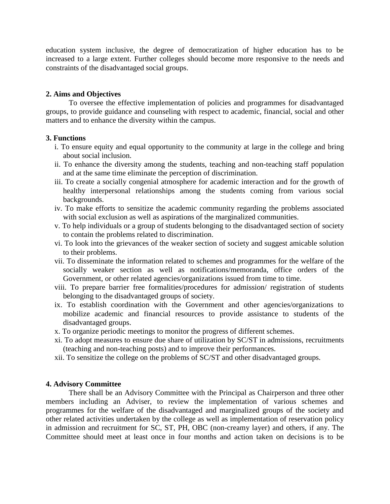education system inclusive, the degree of democratization of higher education has to be increased to a large extent. Further colleges should become more responsive to the needs and constraints of the disadvantaged social groups.

### **2. Aims and Objectives**

To oversee the effective implementation of policies and programmes for disadvantaged groups, to provide guidance and counseling with respect to academic, financial, social and other matters and to enhance the diversity within the campus.

## **3. Functions**

- i. To ensure equity and equal opportunity to the community at large in the college and bring about social inclusion.
- ii. To enhance the diversity among the students, teaching and non-teaching staff population and at the same time eliminate the perception of discrimination.
- iii. To create a socially congenial atmosphere for academic interaction and for the growth of healthy interpersonal relationships among the students coming from various social backgrounds.
- iv. To make efforts to sensitize the academic community regarding the problems associated with social exclusion as well as aspirations of the marginalized communities.
- v. To help individuals or a group of students belonging to the disadvantaged section of society to contain the problems related to discrimination.
- vi. To look into the grievances of the weaker section of society and suggest amicable solution to their problems.
- vii. To disseminate the information related to schemes and programmes for the welfare of the socially weaker section as well as notifications/memoranda, office orders of the Government, or other related agencies/organizations issued from time to time.
- viii. To prepare barrier free formalities/procedures for admission/ registration of students belonging to the disadvantaged groups of society.
- ix. To establish coordination with the Government and other agencies/organizations to mobilize academic and financial resources to provide assistance to students of the disadvantaged groups.
- x. To organize periodic meetings to monitor the progress of different schemes.
- xi. To adopt measures to ensure due share of utilization by SC/ST in admissions, recruitments (teaching and non-teaching posts) and to improve their performances.
- xii. To sensitize the college on the problems of SC/ST and other disadvantaged groups.

## **4. Advisory Committee**

There shall be an Advisory Committee with the Principal as Chairperson and three other members including an Adviser, to review the implementation of various schemes and programmes for the welfare of the disadvantaged and marginalized groups of the society and other related activities undertaken by the college as well as implementation of reservation policy in admission and recruitment for SC, ST, PH, OBC (non-creamy layer) and others, if any. The Committee should meet at least once in four months and action taken on decisions is to be